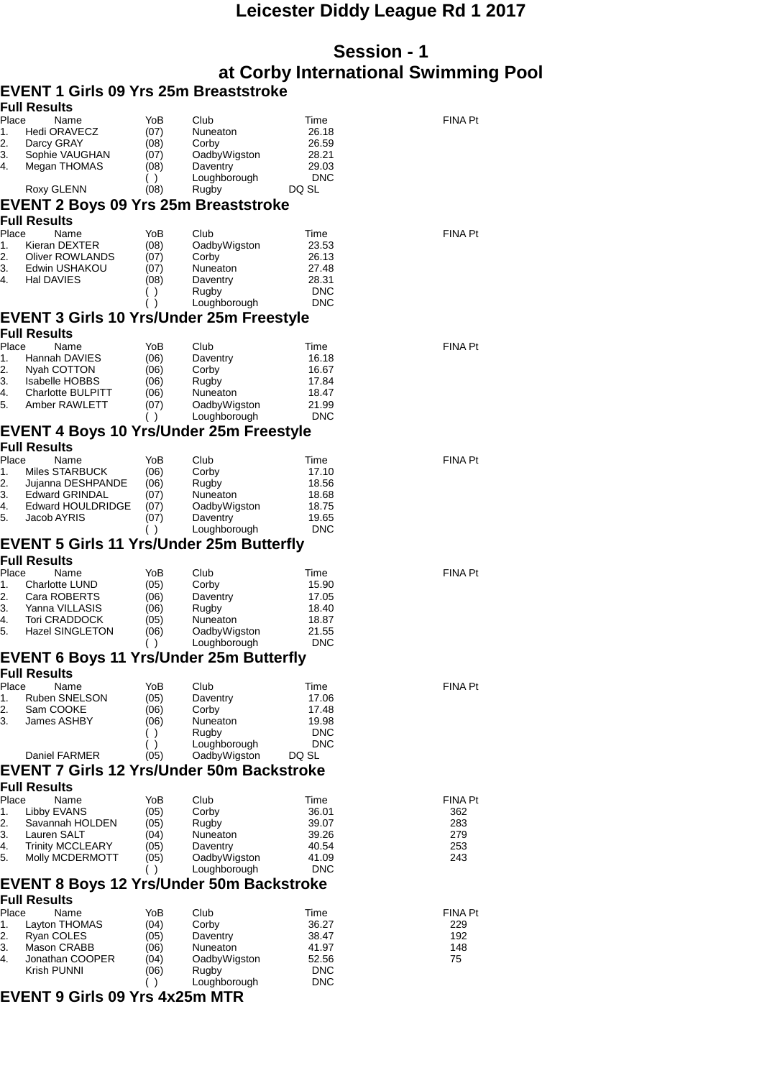## **Leicester Diddy League Rd 1 2017**

## **Session - 1 at Corby International Swimming Pool**

|             | EVENT 1 Girls 09 Yrs 25m Breaststroke             |              |                          |                |                       |
|-------------|---------------------------------------------------|--------------|--------------------------|----------------|-----------------------|
|             | <b>Full Results</b>                               |              |                          |                |                       |
| Place       | Name<br><b>Hedi ORAVECZ</b>                       | YoB          | Club<br>Nuneaton         | Time<br>26.18  | <b>FINA Pt</b>        |
| 1.<br>2.    | Darcy GRAY                                        | (07)<br>(08) | Corby                    | 26.59          |                       |
| З.          | Sophie VAUGHAN                                    | (07)         | OadbyWigston             | 28.21          |                       |
| 4.          | Megan THOMAS                                      | (08)         | Daventry                 | 29.03          |                       |
|             |                                                   | ( )          | Loughborough             | <b>DNC</b>     |                       |
|             | Roxy GLENN                                        | (08)         | Rugby                    | DQ SL          |                       |
|             | EVENT 2 Boys 09 Yrs 25m Breaststroke              |              |                          |                |                       |
|             | <b>Full Results</b>                               |              |                          |                |                       |
| Place       | Name                                              | YoB          | Club                     | Time           | <b>FINA Pt</b>        |
| 1.          | Kieran DEXTER                                     | (08)         | OadbyWigston             | 23.53          |                       |
| 2.          | Oliver ROWLANDS                                   | (07)         | Corby                    | 26.13          |                       |
| 3.<br>4.    | Edwin USHAKOU<br>Hal DAVIES                       | (07)         | Nuneaton                 | 27.48<br>28.31 |                       |
|             |                                                   | (08)<br>( )  | Daventry<br>Rugby        | <b>DNC</b>     |                       |
|             |                                                   | $\lambda$    | Loughborough             | <b>DNC</b>     |                       |
|             | <b>EVENT 3 Girls 10 Yrs/Under 25m Freestyle</b>   |              |                          |                |                       |
|             | <b>Full Results</b>                               |              |                          |                |                       |
| Place       | Name                                              | YoB          | Club                     | Time           | <b>FINA Pt</b>        |
| 1.          | Hannah DAVIES                                     | (06)         | Daventry                 | 16.18          |                       |
| 2.          | Nyah COTTON                                       | (06)         | Corby                    | 16.67          |                       |
| 3.<br>4.    | <b>Isabelle HOBBS</b><br><b>Charlotte BULPITT</b> | (06)         | Rugby                    | 17.84<br>18.47 |                       |
| 5.          | Amber RAWLETT                                     | (06)<br>(07) | Nuneaton<br>OadbyWigston | 21.99          |                       |
|             |                                                   | ( )          | Loughborough             | <b>DNC</b>     |                       |
|             | <b>EVENT 4 Boys 10 Yrs/Under 25m Freestyle</b>    |              |                          |                |                       |
|             | <b>Full Results</b>                               |              |                          |                |                       |
| Place       | Name                                              | YoB          | Club                     | Time           | <b>FINA Pt</b>        |
| 1.          | Miles STARBUCK                                    | (06)         | Corby                    | 17.10          |                       |
| 2.          | Jujanna DESHPANDE                                 | (06)         | Rugby                    | 18.56          |                       |
| 3.<br>4.    | <b>Edward GRINDAL</b>                             | (07)         | Nuneaton                 | 18.68          |                       |
| 5.          | Edward HOULDRIDGE<br>Jacob AYRIS                  | (07)<br>(07) | OadbyWigston<br>Daventry | 18.75<br>19.65 |                       |
|             |                                                   | ( )          | Loughborough             | <b>DNC</b>     |                       |
|             | <b>EVENT 5 Girls 11 Yrs/Under 25m Butterfly</b>   |              |                          |                |                       |
|             | <b>Full Results</b>                               |              |                          |                |                       |
| Place       | Name                                              | YoB          | Club                     | Time           | <b>FINA Pt</b>        |
| 1.          | Charlotte LUND                                    | (05)         | Corby                    | 15.90          |                       |
| 2.<br>3.    | Cara ROBERTS<br>Yanna VILLASIS                    | (06)         | Daventry                 | 17.05          |                       |
| 4.          | Tori CRADDOCK                                     | (06)<br>(05) | Rugby<br>Nuneaton        | 18.40<br>18.87 |                       |
| 5.          | <b>Hazel SINGLETON</b>                            | (06)         | OadbyWigston             | 21.55          |                       |
|             |                                                   | ( )          | Loughborough             | <b>DNC</b>     |                       |
|             | <b>EVENT 6 Boys 11 Yrs/Under 25m Butterfly</b>    |              |                          |                |                       |
|             | <b>Full Results</b>                               |              |                          |                |                       |
| Place<br>1. | Name<br>Ruben SNELSON                             | YoB<br>(05)  | Club<br>Daventry         | Time<br>17.06  | <b>FINA Pt</b>        |
| 2.          | Sam COOKE                                         | (06)         | Corby                    | 17.48          |                       |
| 3.          | James ASHBY                                       | (06)         | Nuneaton                 | 19.98          |                       |
|             |                                                   | ( )          | Rugby                    | <b>DNC</b>     |                       |
|             |                                                   | ( )          | Loughborough             | <b>DNC</b>     |                       |
|             | Daniel FARMER                                     | (05)         | OadbyWigston             | DQ SL          |                       |
|             | <b>EVENT 7 Girls 12 Yrs/Under 50m Backstroke</b>  |              |                          |                |                       |
|             | <b>Full Results</b>                               |              |                          |                |                       |
| Place       | Name<br>Libby EVANS                               | YoB          | Club<br>Corby            | Time<br>36.01  | <b>FINA Pt</b><br>362 |
| 1.<br>2.    | Savannah HOLDEN                                   | (05)<br>(05) | Rugby                    | 39.07          | 283                   |
| 3.          | Lauren SALT                                       | (04)         | Nuneaton                 | 39.26          | 279                   |
| 4.          | <b>Trinity MCCLEARY</b>                           | (05)         | Daventry                 | 40.54          | 253                   |
| 5.          | Molly MCDERMOTT                                   | (05)         | OadbyWigston             | 41.09          | 243                   |
|             |                                                   | ( )          | Loughborough             | <b>DNC</b>     |                       |
|             | <b>EVENT 8 Boys 12 Yrs/Under 50m Backstroke</b>   |              |                          |                |                       |
| Place       | <b>Full Results</b><br>Name                       | YoB          | Club                     | Time           | <b>FINA Pt</b>        |
| 1.          | Layton THOMAS                                     | (04)         | Corby                    | 36.27          | 229                   |
| 2.          | Ryan COLES                                        | (05)         | Daventry                 | 38.47          | 192                   |
| 3.          | Mason CRABB                                       | (06)         | Nuneaton                 | 41.97          | 148                   |
| 4.          | Jonathan COOPER                                   | (04)         | OadbyWigston             | 52.56          | 75                    |
|             | Krish PUNNI                                       | (06)         | Rugby                    | <b>DNC</b>     |                       |
|             | FVENT A A!.                                       | ( )          | Loughborough<br>. MTD    | <b>DNC</b>     |                       |
|             |                                                   |              |                          |                |                       |

## **EVENT 9 Girls 09 Yrs 4x25m MTR**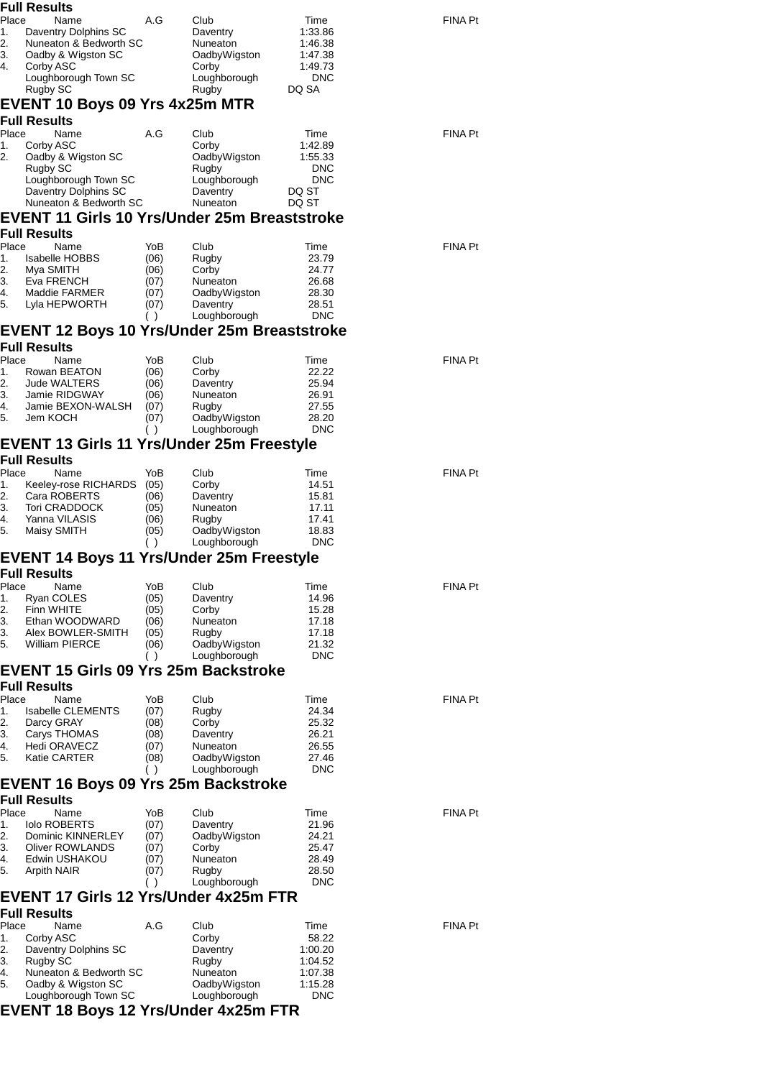|          | <b>Full Results</b>                                 |              |                          |                       |                |
|----------|-----------------------------------------------------|--------------|--------------------------|-----------------------|----------------|
| Place    | Name                                                | A.G          | Club                     | Time                  | FINA Pt        |
| 1.       | Daventry Dolphins SC                                |              | Daventry                 | 1:33.86               |                |
| 2.       | Nuneaton & Bedworth SC                              |              | Nuneaton                 | 1:46.38               |                |
| 3.       | Oadby & Wigston SC                                  |              | OadbyWigston             | 1:47.38               |                |
| 4.       | Corby ASC                                           |              | Corby                    | 1:49.73               |                |
|          | Loughborough Town SC                                |              | Loughborough             | <b>DNC</b>            |                |
|          | Rugby SC                                            |              | Rugby                    | DQ SA                 |                |
|          | EVENT 10 Boys 09 Yrs 4x25m MTR                      |              |                          |                       |                |
|          | <b>Full Results</b>                                 |              |                          |                       |                |
| Place    | Name                                                | A.G          | Club                     | Time                  | <b>FINA Pt</b> |
| 1.       | Corby ASC                                           |              | Corby                    | 1:42.89               |                |
| 2.       | Oadby & Wigston SC<br>Rugby SC                      |              | OadbyWigston<br>Rugby    | 1:55.33<br><b>DNC</b> |                |
|          | Loughborough Town SC                                |              | Loughborough             | <b>DNC</b>            |                |
|          | Daventry Dolphins SC                                |              | Daventry                 | DQ ST                 |                |
|          | Nuneaton & Bedworth SC                              |              | Nuneaton                 | DQ ST                 |                |
|          | <b>EVENT 11 Girls 10 Yrs/Under 25m Breaststroke</b> |              |                          |                       |                |
|          | <b>Full Results</b>                                 |              |                          |                       |                |
| Place    | Name                                                | YoB          | Club                     | Time                  | <b>FINA Pt</b> |
| 1.       | Isabelle HOBBS                                      | (06)         | Rugby                    | 23.79                 |                |
| 2.       | Mya SMITH                                           | (06)         | Corby                    | 24.77                 |                |
| 3.       | Eva FRENCH                                          | (07)         | Nuneaton                 | 26.68                 |                |
| 4.       | Maddie FARMER                                       | (07)         | OadbyWigston             | 28.30                 |                |
| 5.       | Lyla HEPWORTH                                       | (07)<br>( )  | Daventry<br>Loughborough | 28.51<br><b>DNC</b>   |                |
|          | <b>EVENT 12 Boys 10 Yrs/Under 25m Breaststroke</b>  |              |                          |                       |                |
|          | <b>Full Results</b>                                 |              |                          |                       |                |
| Place    | Name                                                | YoB          | Club                     | Time                  | <b>FINA Pt</b> |
| 1.       | Rowan BEATON                                        | (06)         | Corby                    | 22.22                 |                |
| 2.       | <b>Jude WALTERS</b>                                 | (06)         | Daventry                 | 25.94                 |                |
| 3.       | Jamie RIDGWAY                                       | (06)         | Nuneaton                 | 26.91                 |                |
| 4.       | Jamie BEXON-WALSH                                   | (07)         | Rugby                    | 27.55                 |                |
| 5.       | Jem KOCH                                            | (07)         | OadbyWigston             | 28.20                 |                |
|          |                                                     | ( )          | Loughborough             | <b>DNC</b>            |                |
|          | <b>EVENT 13 Girls 11 Yrs/Under 25m Freestyle</b>    |              |                          |                       |                |
|          | <b>Full Results</b>                                 |              |                          |                       |                |
| Place    | Name                                                | YoB          | Club                     | Time                  | <b>FINA Pt</b> |
| 1.<br>2. | Keeley-rose RICHARDS<br>Cara ROBERTS                | (05)         | Corby<br>Daventry        | 14.51<br>15.81        |                |
| 3.       | <b>Tori CRADDOCK</b>                                | (06)<br>(05) | Nuneaton                 | 17.11                 |                |
| 4.       | Yanna VILASIS                                       | (06)         | Rugby                    | 17.41                 |                |
| 5.       | Maisy SMITH                                         | (05)         | OadbyWigston             | 18.83                 |                |
|          |                                                     | ( )          | Loughborough             | <b>DNC</b>            |                |
|          | EVENT 14 Boys 11 Yrs/Under 25m Freestyle            |              |                          |                       |                |
|          | Full Results                                        |              |                          |                       |                |
| Place    | Name                                                | YoB          | Club                     | Time                  | <b>FINA Pt</b> |
| 1.       | Ryan COLES                                          | (05)         | Daventry                 | 14.96                 |                |
| 2.       | Finn WHITE                                          | (05)         | Corby                    | 15.28                 |                |
| 3.       | Ethan WOODWARD                                      | (06)         | Nuneaton                 | 17.18<br>17.18        |                |
| 3.<br>5. | Alex BOWLER-SMITH<br><b>William PIERCE</b>          | (05)<br>(06) | Rugby<br>OadbyWigston    | 21.32                 |                |
|          |                                                     | ( )          | Loughborough             | <b>DNC</b>            |                |
|          | EVENT 15 Girls 09 Yrs 25m Backstroke                |              |                          |                       |                |
|          | <b>Full Results</b>                                 |              |                          |                       |                |
| Place    | Name                                                | YoB          | Club                     | Time                  | <b>FINA Pt</b> |
| 1.       | <b>Isabelle CLEMENTS</b>                            | (07)         | Rugby                    | 24.34                 |                |
| 2.       | Darcy GRAY                                          | (08)         | Corby                    | 25.32                 |                |
| 3.       | Carys THOMAS                                        | (08)         | Daventry                 | 26.21                 |                |
| 4.       | Hedi ORAVECZ                                        | (07)         | Nuneaton                 | 26.55                 |                |
| 5.       | Katie CARTER                                        | (08)         | OadbyWigston             | 27.46<br><b>DNC</b>   |                |
|          |                                                     | ( )          | Loughborough             |                       |                |
|          | <b>EVENT 16 Boys 09 Yrs 25m Backstroke</b>          |              |                          |                       |                |
| Place    | <b>Full Results</b><br>Name                         | YoB          | Club                     | Time                  | <b>FINA Pt</b> |
| 1.       | <b>Iolo ROBERTS</b>                                 | (07)         | Daventry                 | 21.96                 |                |
| 2.       | Dominic KINNERLEY                                   | (07)         | OadbyWigston             | 24.21                 |                |
| 3.       | Oliver ROWLANDS                                     | (07)         | Corby                    | 25.47                 |                |
| 4.       | Edwin USHAKOU                                       | (07)         | Nuneaton                 | 28.49                 |                |
| 5.       | Arpith NAIR                                         | (07)         | Rugby                    | 28.50                 |                |
|          |                                                     | ( )          | Loughborough             | <b>DNC</b>            |                |
|          | EVENT 17 Girls 12 Yrs/Under 4x25m FTR               |              |                          |                       |                |
|          | <b>Full Results</b>                                 |              |                          |                       |                |
| Place    | Name                                                | A.G          | Club                     | Time                  | <b>FINA Pt</b> |
| 1.       | Corby ASC                                           |              | Corby                    | 58.22                 |                |
| 2.       | Daventry Dolphins SC                                |              | Daventry                 | 1:00.20               |                |
| 3.       | Rugby SC                                            |              | Rugby                    | 1:04.52               |                |
| 4.<br>5. | Nuneaton & Bedworth SC<br>Oadby & Wigston SC        |              | Nuneaton<br>OadbyWigston | 1:07.38<br>1:15.28    |                |
|          | Loughborough Town SC                                |              | Loughborough             | <b>DNC</b>            |                |
|          | EVENT 18 Boys 12 Yrs/Under 4x25m FTR                |              |                          |                       |                |
|          |                                                     |              |                          |                       |                |
|          |                                                     |              |                          |                       |                |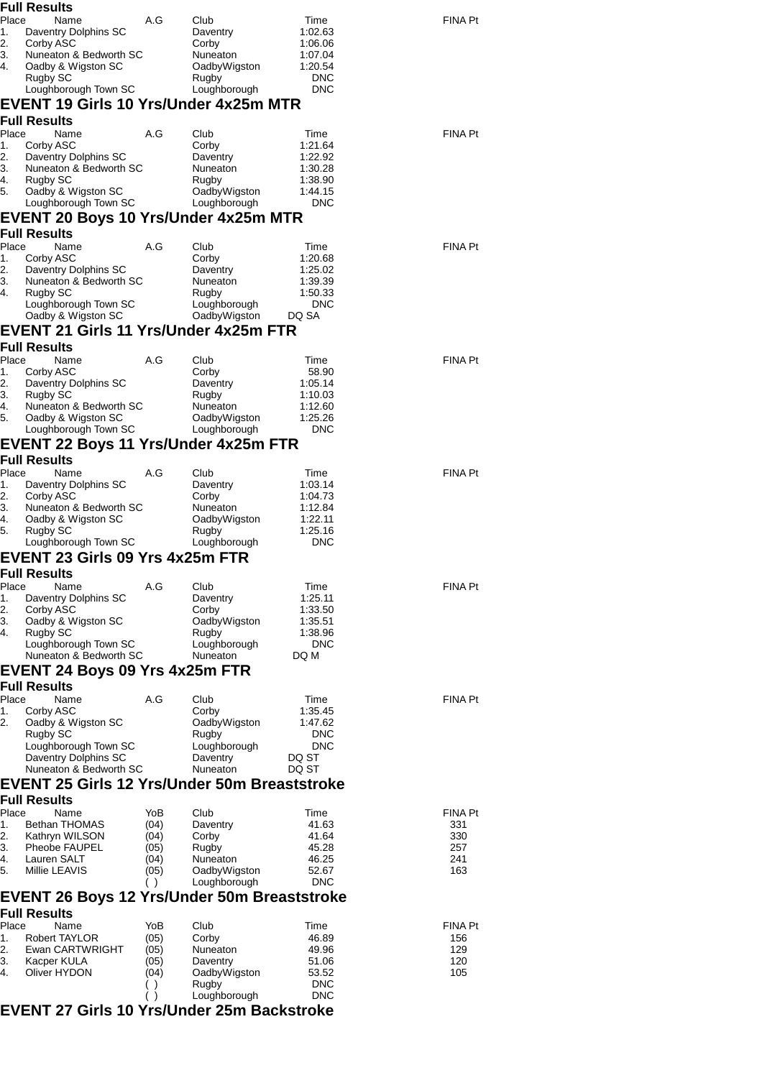|             | <b>Full Results</b>                                |              |                          |                          |                |
|-------------|----------------------------------------------------|--------------|--------------------------|--------------------------|----------------|
| Place       | Name                                               | A.G          | Club                     | Time                     | <b>FINA Pt</b> |
| 1.<br>2.    | Daventry Dolphins SC<br>Corby ASC                  |              | Daventry<br>Corby        | 1:02.63<br>1:06.06       |                |
| 3.          | Nuneaton & Bedworth SC                             |              | Nuneaton                 | 1:07.04                  |                |
| 4.          | Oadby & Wigston SC                                 |              | OadbyWigston             | 1:20.54                  |                |
|             | Rugby SC<br>Loughborough Town SC                   |              | Rugby<br>Loughborough    | <b>DNC</b><br><b>DNC</b> |                |
|             | <b>EVENT 19 Girls 10 Yrs/Under 4x25m MTR</b>       |              |                          |                          |                |
|             | <b>Full Results</b>                                |              |                          |                          |                |
| Place       | Name                                               | A.G          | Club                     | Time                     | <b>FINA Pt</b> |
| 1.          | Corby ASC                                          |              | Corby                    | 1:21.64                  |                |
| 2.          | Daventry Dolphins SC                               |              | Daventry                 | 1:22.92                  |                |
| 3.<br>4.    | Nuneaton & Bedworth SC<br>Rugby SC                 |              | Nuneaton<br>Rugby        | 1:30.28<br>1:38.90       |                |
| 5.          | Oadby & Wigston SC                                 |              | OadbyWigston             | 1:44.15                  |                |
|             | Loughborough Town SC                               |              | Loughborough             | <b>DNC</b>               |                |
|             | EVENT 20 Boys 10 Yrs/Under 4x25m MTR               |              |                          |                          |                |
|             | <b>Full Results</b>                                |              |                          |                          |                |
| Place<br>1. | Name<br>Corby ASC                                  | A.G          | Club<br>Corby            | Time<br>1:20.68          | <b>FINA Pt</b> |
| 2.          | Daventry Dolphins SC                               |              | Daventry                 | 1:25.02                  |                |
| 3.          | Nuneaton & Bedworth SC                             |              | Nuneaton                 | 1:39.39                  |                |
| 4.          | Rugby SC<br>Loughborough Town SC                   |              | Rugby<br>Loughborough    | 1:50.33<br><b>DNC</b>    |                |
|             | Oadby & Wigston SC                                 |              | OadbyWigston             | DQ SA                    |                |
|             | <b>EVENT 21 Girls 11 Yrs/Under 4x25m FTR</b>       |              |                          |                          |                |
|             | <b>Full Results</b>                                |              |                          |                          |                |
| Place       | Name                                               | A.G          | Club                     | Time                     | <b>FINA Pt</b> |
| 1.          | Corby ASC                                          |              | Corby                    | 58.90                    |                |
| 2.<br>3.    | Daventry Dolphins SC                               |              | Daventry                 | 1:05.14                  |                |
| 4.          | Rugby SC<br>Nuneaton & Bedworth SC                 |              | Rugby<br>Nuneaton        | 1:10.03<br>1:12.60       |                |
| 5.          | Oadby & Wigston SC                                 |              | OadbyWigston             | 1:25.26                  |                |
|             | Loughborough Town SC                               |              | Loughborough             | <b>DNC</b>               |                |
|             | EVENT 22 Boys 11 Yrs/Under 4x25m FTR               |              |                          |                          |                |
|             | <b>Full Results</b>                                |              |                          |                          |                |
| Place       | Name                                               | A.G          | Club                     | Time<br>1:03.14          | <b>FINA Pt</b> |
| 1.<br>2.    | Daventry Dolphins SC<br>Corby ASC                  |              | Daventry<br>Corby        | 1:04.73                  |                |
| 3.          | Nuneaton & Bedworth SC                             |              | Nuneaton                 | 1:12.84                  |                |
| 4.          | Oadby & Wigston SC                                 |              | OadbyWigston             | 1:22.11                  |                |
| 5.          | Rugby SC<br>Loughborough Town SC                   |              | Rugby<br>Loughborough    | 1:25.16<br><b>DNC</b>    |                |
|             | <b>EVENT 23 Girls 09 Yrs 4x25m FTR</b>             |              |                          |                          |                |
|             | <b>Full Results</b>                                |              |                          |                          |                |
| Place       | Name                                               | A.G          | Club                     | Time                     | <b>FINA Pt</b> |
| 1.          | Daventry Dolphins SC                               |              | Daventry                 | 1:25.11                  |                |
| 2.<br>3.    | Corby ASC<br>Oadby & Wigston SC                    |              | Corby<br>OadbyWigston    | 1:33.50<br>1:35.51       |                |
| 4.          | Rugby SC                                           |              | Rugby                    | 1:38.96                  |                |
|             | Loughborough Town SC                               |              | Loughborough             | <b>DNC</b>               |                |
|             | Nuneaton & Bedworth SC                             |              | Nuneaton                 | DQ M                     |                |
|             | <b>EVENT 24 Boys 09 Yrs 4x25m FTR</b>              |              |                          |                          |                |
|             | <b>Full Results</b>                                |              |                          |                          |                |
| Place<br>1. | Name<br>Corby ASC                                  | A.G          | Club<br>Corby            | Time<br>1:35.45          | <b>FINA Pt</b> |
| 2.          | Oadby & Wigston SC                                 |              | OadbyWigston             | 1:47.62                  |                |
|             | Rugby SC                                           |              | Rugby                    | <b>DNC</b>               |                |
|             | Loughborough Town SC<br>Daventry Dolphins SC       |              | Loughborough<br>Daventry | <b>DNC</b><br>DQ ST      |                |
|             | Nuneaton & Bedworth SC                             |              | Nuneaton                 | DQ ST                    |                |
|             | EVENT 25 Girls 12 Yrs/Under 50m Breaststroke       |              |                          |                          |                |
|             | <b>Full Results</b>                                |              |                          |                          |                |
| Place       | Name                                               | YoB          | Club                     | Time                     | <b>FINA Pt</b> |
| 1.          | Bethan THOMAS                                      | (04)         | Daventry                 | 41.63                    | 331            |
| 2.<br>3.    | Kathryn WILSON                                     | (04)         | Corby                    | 41.64                    | 330            |
| 4.          | Pheobe FAUPEL<br>Lauren SALT                       | (05)<br>(04) | Rugby<br>Nuneaton        | 45.28<br>46.25           | 257<br>241     |
| 5.          | Millie LEAVIS                                      | (05)         | OadbyWigston             | 52.67                    | 163            |
|             |                                                    | ( )          | Loughborough             | <b>DNC</b>               |                |
|             | <b>EVENT 26 Boys 12 Yrs/Under 50m Breaststroke</b> |              |                          |                          |                |
|             | <b>Full Results</b>                                |              |                          |                          |                |
| Place       | Name                                               | YoB          | Club                     | Time                     | <b>FINA Pt</b> |
| 1.<br>2.    | Robert TAYLOR<br>Ewan CARTWRIGHT                   | (05)<br>(05) | Corby<br>Nuneaton        | 46.89<br>49.96           | 156<br>129     |
| 3.          | Kacper KULA                                        | (05)         | Daventry                 | 51.06                    | 120            |
| 4.          | Oliver HYDON                                       | (04)         | OadbyWigston             | 53.52                    | 105            |
|             |                                                    | $\lambda$    | Rugby                    | <b>DNC</b><br><b>DNC</b> |                |
|             | <b>EVENT 27 Girls 10 Yrs/Under 25m Backstroke</b>  | ( )          | Loughborough             |                          |                |
|             |                                                    |              |                          |                          |                |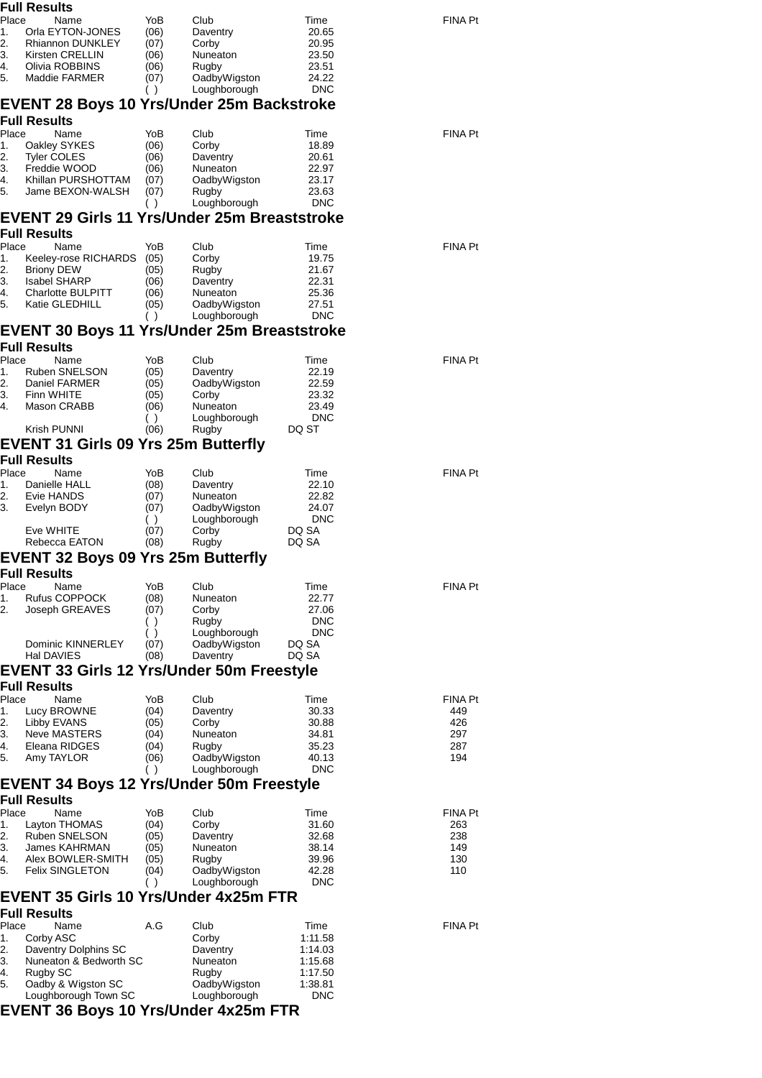|             | Full Results                                                     |              |                              |                     |                       |
|-------------|------------------------------------------------------------------|--------------|------------------------------|---------------------|-----------------------|
| Place       | Name                                                             | YoB          | Club                         | Time                | <b>FINA Pt</b>        |
| 1.          | Orla EYTON-JONES                                                 | (06)         | Daventry                     | 20.65               |                       |
| 2.<br>3.    | Rhiannon DUNKLEY<br>Kirsten CRELLIN                              | (07)<br>(06) | Corby<br>Nuneaton            | 20.95<br>23.50      |                       |
| 4.          | Olivia ROBBINS                                                   | (06)         | Rugby                        | 23.51               |                       |
| 5.          | Maddie FARMER                                                    | (07)         | OadbyWigston                 | 24.22               |                       |
|             |                                                                  | $($ )        | Loughborough                 | <b>DNC</b>          |                       |
|             | <b>EVENT 28 Boys 10 Yrs/Under 25m Backstroke</b><br>Full Results |              |                              |                     |                       |
| Place       | Name                                                             | YoB          | Club                         | Time                | <b>FINA Pt</b>        |
| 1.          | Oakley SYKES                                                     | (06)         | Corby                        | 18.89               |                       |
| 2.          | <b>Tyler COLES</b>                                               | (06)         | Daventry                     | 20.61               |                       |
| 3.          | Freddie WOOD                                                     | (06)         | Nuneaton                     | 22.97               |                       |
| 4.<br>5.    | Khillan PURSHOTTAM                                               | (07)         | OadbyWigston<br>Rugby        | 23.17<br>23.63      |                       |
|             | Jame BEXON-WALSH                                                 | (07)<br>( )  | Loughborough                 | <b>DNC</b>          |                       |
|             | <b>EVENT 29 Girls 11 Yrs/Under 25m Breaststroke</b>              |              |                              |                     |                       |
|             | <b>Full Results</b>                                              |              |                              |                     | <b>FINA Pt</b>        |
| Place<br>1. | Name<br>Keeley-rose RICHARDS                                     | YoB<br>(05)  | Club<br>Corby                | Time<br>19.75       |                       |
| 2.          | <b>Briony DEW</b>                                                | (05)         | Rugby                        | 21.67               |                       |
| 3.          | <b>Isabel SHARP</b>                                              | (06)         | Daventry                     | 22.31               |                       |
| 4.          | <b>Charlotte BULPITT</b>                                         | (06)         | Nuneaton                     | 25.36               |                       |
| 5.          | Katie GLEDHILL                                                   | (05)<br>( )  | OadbyWigston<br>Loughborough | 27.51<br><b>DNC</b> |                       |
|             | <b>EVENT 30 Boys 11 Yrs/Under 25m Breaststroke</b>               |              |                              |                     |                       |
|             | <b>Full Results</b>                                              |              |                              |                     |                       |
| Place       | Name                                                             | YoB          | Club                         | Time                | <b>FINA Pt</b>        |
| 1.          | Ruben SNELSON                                                    | (05)         | Daventry                     | 22.19               |                       |
| 2.<br>3.    | Daniel FARMER<br>Finn WHITE                                      | (05)<br>(05) | OadbyWigston<br>Corby        | 22.59<br>23.32      |                       |
| 4.          | Mason CRABB                                                      | (06)         | Nuneaton                     | 23.49               |                       |
|             |                                                                  | ( )          | Loughborough                 | <b>DNC</b>          |                       |
|             | Krish PUNNI                                                      | (06)         | Rugby                        | DQ ST               |                       |
|             | EVENT 31 Girls 09 Yrs 25m Butterfly                              |              |                              |                     |                       |
|             | <b>Full Results</b>                                              |              |                              |                     |                       |
| Place       | Name                                                             | YoB          | Club                         | Time                | <b>FINA Pt</b>        |
| 1.<br>2.    | Danielle HALL<br>Evie HANDS                                      | (08)<br>(07) | Daventry<br>Nuneaton         | 22.10<br>22.82      |                       |
| 3.          | Evelyn BODY                                                      | (07)         | OadbyWigston                 | 24.07               |                       |
|             |                                                                  | ( )          | Loughborough                 | <b>DNC</b>          |                       |
|             | Eve WHITE                                                        | (07)         | Corby                        | DQ SA               |                       |
|             | Rebecca EATON                                                    | (08)         | Rugby                        | DQ SA               |                       |
|             | <b>EVENT 32 Boys 09 Yrs 25m Butterfly</b><br><b>Full Results</b> |              |                              |                     |                       |
| Place       | Name                                                             | YoB          | Club                         | Time                | <b>FINA Pt</b>        |
| 1.          | <b>Rufus COPPOCK</b>                                             | (08)         | Nuneaton                     | 22.77               |                       |
| 2.          | Joseph GREAVES                                                   | (07)         | Corby                        | 27.06               |                       |
|             |                                                                  | ( )          | Rugby                        | <b>DNC</b>          |                       |
|             | Dominic KINNERLEY                                                | ( )<br>(07)  | Loughborough<br>OadbyWigston | <b>DNC</b><br>DQ SA |                       |
|             | Hal DAVIES                                                       | (08)         | Daventry                     | DQ SA               |                       |
|             | <b>EVENT 33 Girls 12 Yrs/Under 50m Freestyle</b>                 |              |                              |                     |                       |
|             | <b>Full Results</b>                                              |              |                              |                     |                       |
| Place<br>1. | Name<br>Lucy BROWNE                                              | YoB<br>(04)  | Club<br>Daventry             | Time<br>30.33       | <b>FINA Pt</b><br>449 |
| 2.          | Libby EVANS                                                      | (05)         | Corby                        | 30.88               | 426                   |
| 3.          | Neve MASTERS                                                     | (04)         | Nuneaton                     | 34.81               | 297                   |
| 4.          | Eleana RIDGES                                                    | (04)         | Rugby                        | 35.23               | 287                   |
| 5.          | Amy TAYLOR                                                       | (06)         | OadbyWigston<br>Loughborough | 40.13<br><b>DNC</b> | 194                   |
|             | <b>EVENT 34 Boys 12 Yrs/Under 50m Freestyle</b>                  | ( )          |                              |                     |                       |
|             | <b>Full Results</b>                                              |              |                              |                     |                       |
| Place       | Name                                                             | YoB          | Club                         | Time                | <b>FINA Pt</b>        |
| 1.          | Layton THOMAS                                                    | (04)         | Corby                        | 31.60               | 263                   |
| 2.          | <b>Ruben SNELSON</b>                                             | (05)         | Daventry                     | 32.68               | 238                   |
| 3.          | James KAHRMAN                                                    | (05)         | Nuneaton                     | 38.14               | 149                   |
| 4.<br>5.    | Alex BOWLER-SMITH<br><b>Felix SINGLETON</b>                      | (05)         | Rugby<br>OadbyWigston        | 39.96<br>42.28      | 130<br>110            |
|             |                                                                  | (04)<br>( )  | Loughborough                 | <b>DNC</b>          |                       |
|             | <b>EVENT 35 Girls 10 Yrs/Under 4x25m FTR</b>                     |              |                              |                     |                       |
|             | <b>Full Results</b>                                              |              |                              |                     |                       |
| Place       | Name                                                             | A.G          | Club                         | Time                | <b>FINA Pt</b>        |
| 1.          | Corby ASC                                                        |              | Corby                        | 1:11.58             |                       |
| 2.<br>3.    | Daventry Dolphins SC<br>Nuneaton & Bedworth SC                   |              | Daventry<br>Nuneaton         | 1:14.03<br>1:15.68  |                       |
| 4.          | Rugby SC                                                         |              | Rugby                        | 1:17.50             |                       |
| 5.          | Oadby & Wigston SC                                               |              | OadbyWigston                 | 1:38.81             |                       |
|             | Loughborough Town SC                                             |              | Loughborough                 | <b>DNC</b>          |                       |
|             | <b>EVENT 36 Boys 10 Yrs/Under 4x25m FTR</b>                      |              |                              |                     |                       |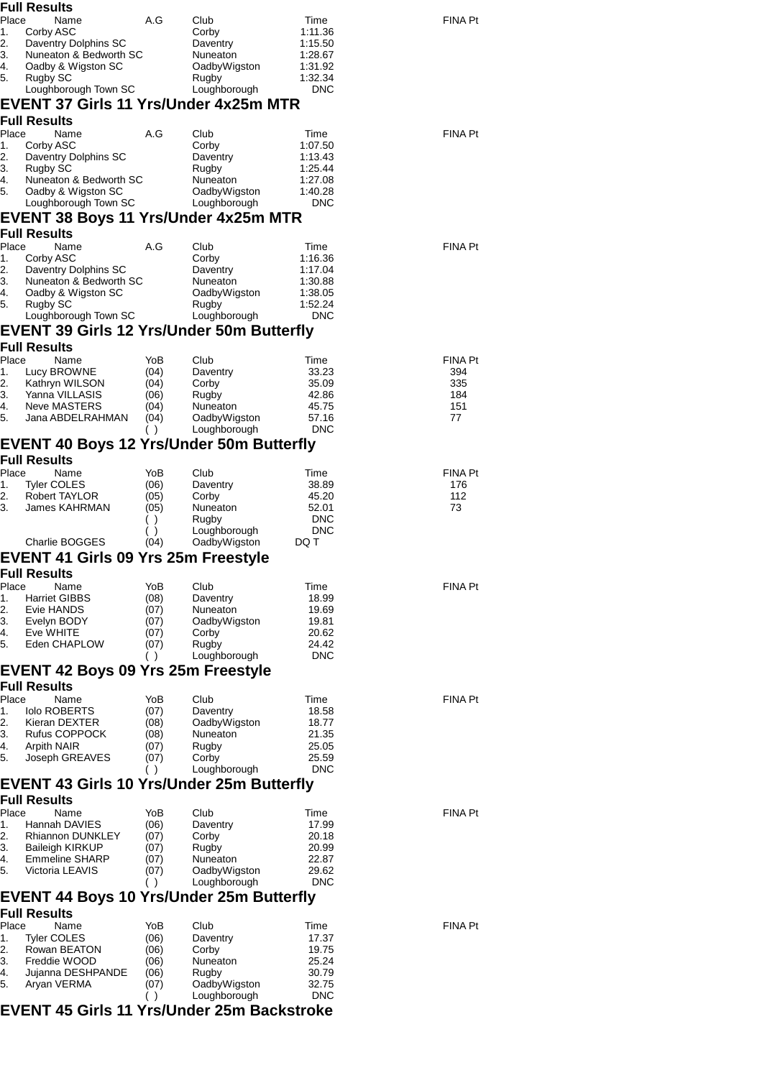|          | Full Results                                                           |              |                              |                    |                |
|----------|------------------------------------------------------------------------|--------------|------------------------------|--------------------|----------------|
| Place    | Name                                                                   | A.G          | Club                         | Time               | FINA Pt        |
| 1.       | Corby ASC                                                              |              | Corby                        | 1:11.36            |                |
| 2.<br>3. | Daventry Dolphins SC<br>Nuneaton & Bedworth SC                         |              | Daventry<br>Nuneaton         | 1:15.50<br>1:28.67 |                |
| 4.       | Oadby & Wigston SC                                                     |              | OadbyWigston                 | 1:31.92            |                |
| 5.       | Rugby SC                                                               |              | Rugby                        | 1:32.34            |                |
|          | Loughborough Town SC                                                   |              | Loughborough                 | <b>DNC</b>         |                |
|          | <b>EVENT 37 Girls 11 Yrs/Under 4x25m MTR</b>                           |              |                              |                    |                |
|          | <b>Full Results</b>                                                    |              |                              |                    |                |
| Place    | Name                                                                   | A.G          | Club                         | Time               | <b>FINA Pt</b> |
| 1.<br>2. | Corby ASC<br>Daventry Dolphins SC                                      |              | Corby<br>Daventry            | 1:07.50<br>1:13.43 |                |
| 3.       | Rugby SC                                                               |              | Rugby                        | 1:25.44            |                |
| 4.       | Nuneaton & Bedworth SC                                                 |              | Nuneaton                     | 1:27.08            |                |
| 5.       | Oadby & Wigston SC                                                     |              | OadbyWigston                 | 1:40.28            |                |
|          | Loughborough Town SC                                                   |              | Loughborough                 | <b>DNC</b>         |                |
|          | EVENT 38 Boys 11 Yrs/Under 4x25m MTR                                   |              |                              |                    |                |
|          | <b>Full Results</b>                                                    |              |                              |                    |                |
| Place    | Name                                                                   | A.G          | Club                         | Time<br>1:16.36    | FINA Pt        |
| 1.<br>2. | Corby ASC<br>Daventry Dolphins SC                                      |              | Corby<br>Daventry            | 1:17.04            |                |
| 3.       | Nuneaton & Bedworth SC                                                 |              | Nuneaton                     | 1:30.88            |                |
| 4.       | Oadby & Wigston SC                                                     |              | OadbyWigston                 | 1:38.05            |                |
| 5.       | Rugby SC                                                               |              | Rugby                        | 1:52.24            |                |
|          | Loughborough Town SC                                                   |              | Loughborough                 | <b>DNC</b>         |                |
|          | <b>EVENT 39 Girls 12 Yrs/Under 50m Butterfly</b>                       |              |                              |                    |                |
| Place    | <b>Full Results</b><br>Name                                            | YoB          |                              |                    | <b>FINA Pt</b> |
| 1.       | Lucy BROWNE                                                            | (04)         | Club<br>Daventry             | Time<br>33.23      | 394            |
| 2.       | Kathryn WILSON                                                         | (04)         | Corby                        | 35.09              | 335            |
| 3.       | Yanna VILLASIS                                                         | (06)         | Rugby                        | 42.86              | 184            |
| 4.       | Neve MASTERS                                                           | (04)         | Nuneaton                     | 45.75              | 151            |
| 5.       | Jana ABDELRAHMAN                                                       | (04)         | OadbyWigston                 | 57.16              | 77             |
|          |                                                                        | ( )          | Loughborough                 | <b>DNC</b>         |                |
|          | <b>EVENT 40 Boys 12 Yrs/Under 50m Butterfly</b><br><b>Full Results</b> |              |                              |                    |                |
| Place    | Name                                                                   | YoB          | Club                         | Time               | <b>FINA Pt</b> |
| 1.       | <b>Tyler COLES</b>                                                     | (06)         | Daventry                     | 38.89              | 176            |
| 2.       | Robert TAYLOR                                                          | (05)         | Corby                        | 45.20              | 112            |
| 3.       | James KAHRMAN                                                          | (05)         | Nuneaton                     | 52.01              | 73             |
|          |                                                                        | ( )          | Rugby                        | <b>DNC</b>         |                |
|          |                                                                        | ( )          | Loughborough<br>OadbyWigston | <b>DNC</b>         |                |
|          | Charlie BOGGES<br><b>EVENT 41 Girls 09 Yrs 25m Freestyle</b>           | (04)         |                              | DQ T               |                |
|          |                                                                        |              |                              |                    |                |
| Place    | Full Results<br>Name                                                   | YoB          | Club                         | Time               | <b>FINA Pt</b> |
| 1.       | <b>Harriet GIBBS</b>                                                   | (08)         | Daventry                     | 18.99              |                |
| 2.       | Evie HANDS                                                             | (07)         | Nuneaton                     | 19.69              |                |
| З.       | Evelyn BODY                                                            | (07)         | OadbyWigston                 | 19.81              |                |
| 4.       | Eve WHITE                                                              | (07)         | Corby                        | 20.62              |                |
| 5.       | Eden CHAPLOW                                                           | (07)<br>( )  | Rugby<br>Loughborough        | 24.42<br>DNC       |                |
|          | <b>EVENT 42 Boys 09 Yrs 25m Freestyle</b>                              |              |                              |                    |                |
|          | <b>Full Results</b>                                                    |              |                              |                    |                |
| Place    | Name                                                                   | YoB          | Club                         | Time               | FINA Pt        |
| 1.       | <b>Iolo ROBERTS</b>                                                    | (07)         | Daventry                     | 18.58              |                |
| 2.       | Kieran DEXTER                                                          | (08)         | OadbyWigston                 | 18.77              |                |
| 3.       | <b>Rufus COPPOCK</b>                                                   | (08)         | Nuneaton                     | 21.35              |                |
| 4.<br>5. | <b>Arpith NAIR</b><br>Joseph GREAVES                                   | (07)<br>(07) | Rugby<br>Corby               | 25.05<br>25.59     |                |
|          |                                                                        | ( )          | Loughborough                 | <b>DNC</b>         |                |
|          | EVENT 43 Girls 10 Yrs/Under 25m Butterfly                              |              |                              |                    |                |
|          | <b>Full Results</b>                                                    |              |                              |                    |                |
| Place    | Name                                                                   | YoB          | Club                         | Time               | <b>FINA Pt</b> |
| 1.       | Hannah DAVIES                                                          | (06)         | Daventry                     | 17.99              |                |
| 2.       | <b>Rhiannon DUNKLEY</b>                                                | (07)         | Corby                        | 20.18              |                |
| З.       | <b>Baileigh KIRKUP</b>                                                 | (07)         | Rugby                        | 20.99              |                |
| 4.<br>5. | <b>Emmeline SHARP</b><br>Victoria LEAVIS                               | (07)<br>(07) | Nuneaton<br>OadbyWigston     | 22.87<br>29.62     |                |
|          |                                                                        | $($ )        | Loughborough                 | DNC                |                |
|          | EVENT 44 Boys 10 Yrs/Under 25m Butterfly                               |              |                              |                    |                |
|          | <b>Full Results</b>                                                    |              |                              |                    |                |
| Place    | Name                                                                   | YoB          | Club                         | Time               | FINA Pt        |
| 1.       | <b>Tyler COLES</b>                                                     | (06)         | Daventry                     | 17.37              |                |
| 2.       | Rowan BEATON                                                           | (06)         | Corby                        | 19.75              |                |
| 3.<br>4. | Freddie WOOD<br>Jujanna DESHPANDE                                      | (06)<br>(06) | Nuneaton<br>Rugby            | 25.24<br>30.79     |                |
| 5.       | Aryan VERMA                                                            | (07)         | OadbyWigston                 | 32.75              |                |
|          |                                                                        | ( )          | Loughborough                 | <b>DNC</b>         |                |
|          | EVENT 45 Girls 11 Yrs/Under 25m Backstroke                             |              |                              |                    |                |
|          |                                                                        |              |                              |                    |                |